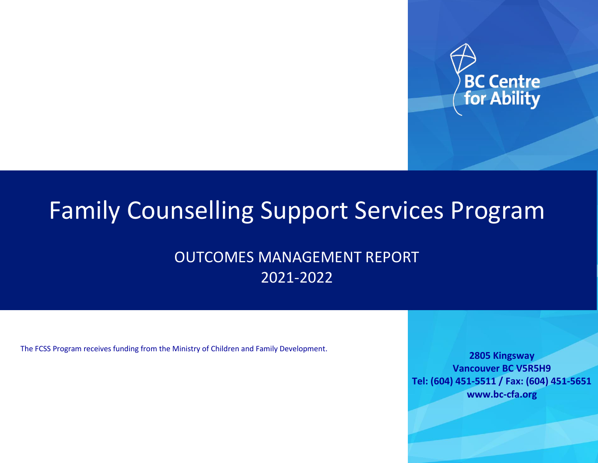

# Family Counselling Support Services Program

## OUTCOMES MANAGEMENT REPORT 2021-2022

The FCSS Program receives funding from the Ministry of Children and Family Development.

**2805 Kingsway Vancouver BC V5R5H9 Tel: (604) 451-5511 / Fax: (604) 451-5651 www.bc-cfa.org**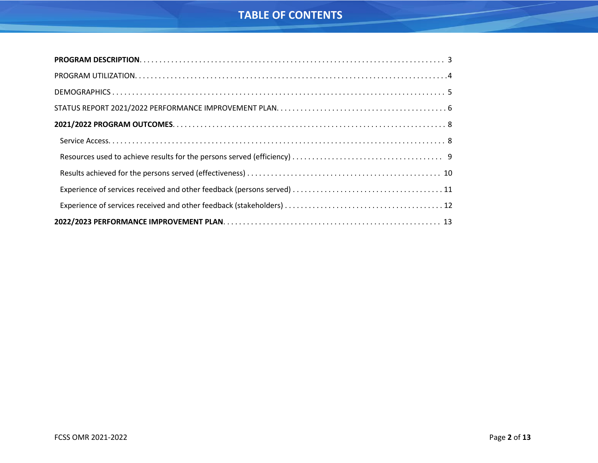## **TABLE OF CONTENTS**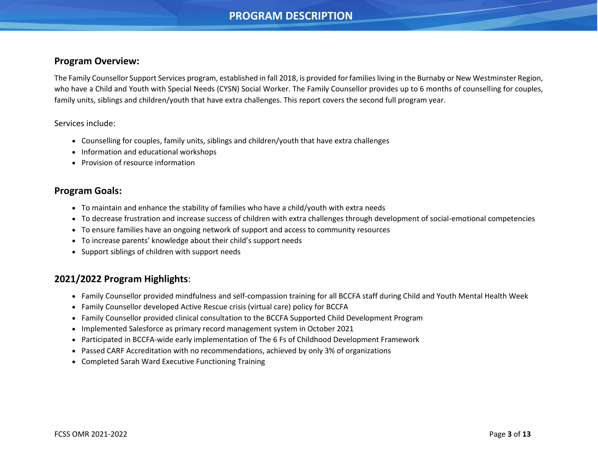## **PROGRAM DESCRIPTION**

#### <span id="page-2-0"></span>**Program Overview:**

The Family Counsellor Support Services program, established in fall 2018, is provided for families living in the Burnaby or New Westminster Region, who have a Child and Youth with Special Needs (CYSN) Social Worker. The Family Counsellor provides up to 6 months of counselling for couples, family units, siblings and children/youth that have extra challenges. This report covers the second full program year.

#### Services include:

- Counselling for couples, family units, siblings and children/youth that have extra challenges
- Information and educational workshops
- Provision of resource information

#### **Program Goals:**

- To maintain and enhance the stability of families who have a child/youth with extra needs
- To decrease frustration and increase success of children with extra challenges through development of social-emotional competencies
- To ensure families have an ongoing network of support and access to community resources
- To increase parents' knowledge about their child's support needs
- Support siblings of children with support needs

#### **2021/2022 Program Highlights**:

- Family Counsellor provided mindfulness and self-compassion training for all BCCFA staff during Child and Youth Mental Health Week
- Family Counsellor developed Active Rescue crisis (virtual care) policy for BCCFA
- Family Counsellor provided clinical consultation to the BCCFA Supported Child Development Program
- Implemented Salesforce as primary record management system in October 2021
- Participated in BCCFA-wide early implementation of The 6 Fs of Childhood Development Framework
- Passed CARF Accreditation with no recommendations, achieved by only 3% of organizations
- Completed Sarah Ward Executive Functioning Training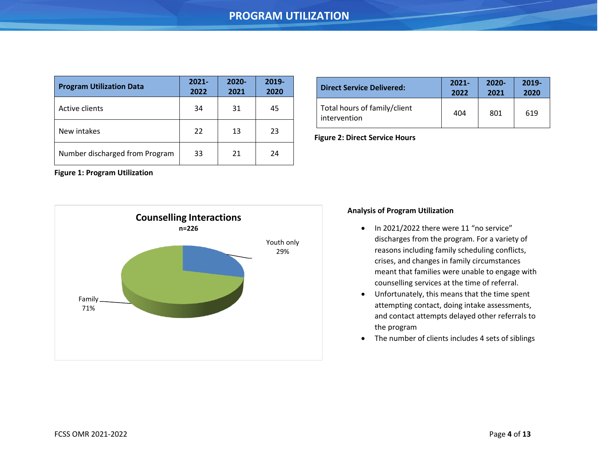<span id="page-3-0"></span>

| <b>Program Utilization Data</b> | $2021 -$<br>2022 | $2020 -$<br>2021 | 2019-<br>2020 |
|---------------------------------|------------------|------------------|---------------|
| Active clients                  | 34               | 31               | 45            |
| New intakes                     | 22               | 13               | 23            |
| Number discharged from Program  | 33               | 21               | 24            |

| <b>Direct Service Delivered:</b>             | $2021 -$ | $2020 -$ | $2019 -$ |
|----------------------------------------------|----------|----------|----------|
|                                              | 2022     | 2021     | 2020     |
| Total hours of family/client<br>intervention | 404      | 801      | 619      |

**Figure 2: Direct Service Hours**

**Figure 1: Program Utilization** 



#### **Analysis of Program Utilization**

- In 2021/2022 there were 11 "no service" discharges from the program. For a variety of reasons including family scheduling conflicts, crises, and changes in family circumstances meant that families were unable to engage with counselling services at the time of referral.
- Unfortunately, this means that the time spent attempting contact, doing intake assessments, and contact attempts delayed other referrals to the program
- The number of clients includes 4 sets of siblings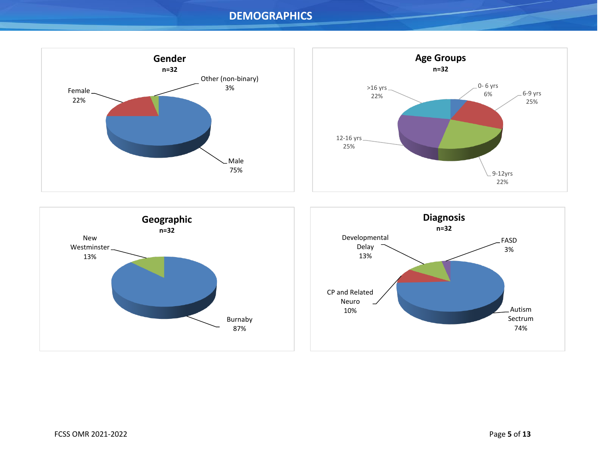### **DEMOGRAPHICS**

<span id="page-4-0"></span>





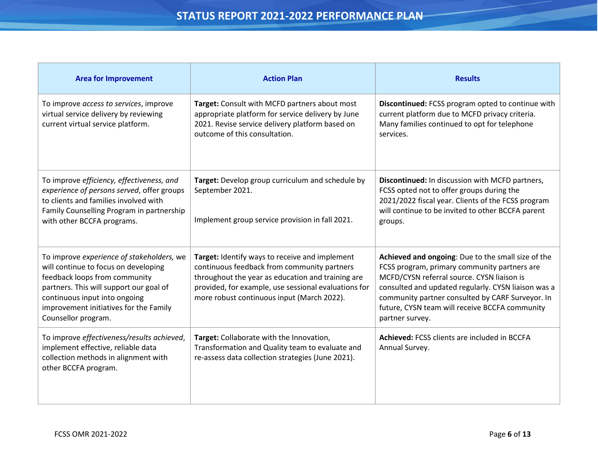<span id="page-5-0"></span>

| <b>Area for Improvement</b>                                                                                                                                                                                                                                     | <b>Action Plan</b>                                                                                                                                                                                                                                       | <b>Results</b>                                                                                                                                                                                                                                                                                                                   |
|-----------------------------------------------------------------------------------------------------------------------------------------------------------------------------------------------------------------------------------------------------------------|----------------------------------------------------------------------------------------------------------------------------------------------------------------------------------------------------------------------------------------------------------|----------------------------------------------------------------------------------------------------------------------------------------------------------------------------------------------------------------------------------------------------------------------------------------------------------------------------------|
| To improve access to services, improve<br>virtual service delivery by reviewing<br>current virtual service platform.                                                                                                                                            | Target: Consult with MCFD partners about most<br>appropriate platform for service delivery by June<br>2021. Revise service delivery platform based on<br>outcome of this consultation.                                                                   | Discontinued: FCSS program opted to continue with<br>current platform due to MCFD privacy criteria.<br>Many families continued to opt for telephone<br>services.                                                                                                                                                                 |
| To improve efficiency, effectiveness, and<br>experience of persons served, offer groups<br>to clients and families involved with<br>Family Counselling Program in partnership<br>with other BCCFA programs.                                                     | Target: Develop group curriculum and schedule by<br>September 2021.<br>Implement group service provision in fall 2021.                                                                                                                                   | Discontinued: In discussion with MCFD partners,<br>FCSS opted not to offer groups during the<br>2021/2022 fiscal year. Clients of the FCSS program<br>will continue to be invited to other BCCFA parent<br>groups.                                                                                                               |
| To improve experience of stakeholders, we<br>will continue to focus on developing<br>feedback loops from community<br>partners. This will support our goal of<br>continuous input into ongoing<br>improvement initiatives for the Family<br>Counsellor program. | Target: Identify ways to receive and implement<br>continuous feedback from community partners<br>throughout the year as education and training are<br>provided, for example, use sessional evaluations for<br>more robust continuous input (March 2022). | Achieved and ongoing: Due to the small size of the<br>FCSS program, primary community partners are<br>MCFD/CYSN referral source. CYSN liaison is<br>consulted and updated regularly. CYSN liaison was a<br>community partner consulted by CARF Surveyor. In<br>future, CYSN team will receive BCCFA community<br>partner survey. |
| To improve effectiveness/results achieved,<br>implement effective, reliable data<br>collection methods in alignment with<br>other BCCFA program.                                                                                                                | Target: Collaborate with the Innovation,<br>Transformation and Quality team to evaluate and<br>re-assess data collection strategies (June 2021).                                                                                                         | Achieved: FCSS clients are included in BCCFA<br>Annual Survey.                                                                                                                                                                                                                                                                   |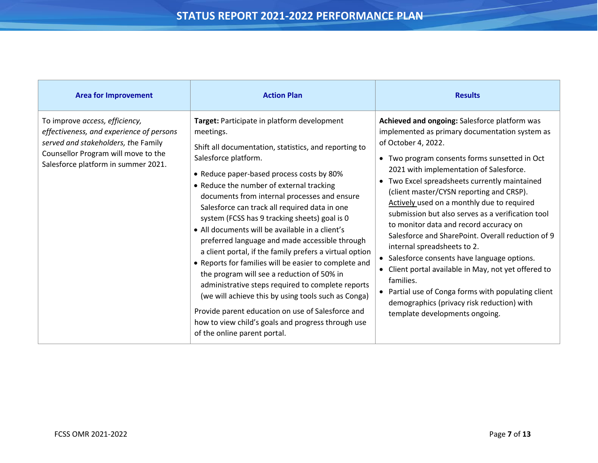| <b>Area for Improvement</b>                                                                                                                                                                     | <b>Action Plan</b>                                                                                                                                                                                                                                                                                                                                                                                                                                                                                                                                                                                                                                                                                                                                                                                                                                                                                                 | <b>Results</b>                                                                                                                                                                                                                                                                                                                                                                                                                                                                                                                                                                                                                                                                                                                                                                                         |
|-------------------------------------------------------------------------------------------------------------------------------------------------------------------------------------------------|--------------------------------------------------------------------------------------------------------------------------------------------------------------------------------------------------------------------------------------------------------------------------------------------------------------------------------------------------------------------------------------------------------------------------------------------------------------------------------------------------------------------------------------------------------------------------------------------------------------------------------------------------------------------------------------------------------------------------------------------------------------------------------------------------------------------------------------------------------------------------------------------------------------------|--------------------------------------------------------------------------------------------------------------------------------------------------------------------------------------------------------------------------------------------------------------------------------------------------------------------------------------------------------------------------------------------------------------------------------------------------------------------------------------------------------------------------------------------------------------------------------------------------------------------------------------------------------------------------------------------------------------------------------------------------------------------------------------------------------|
| To improve access, efficiency,<br>effectiveness, and experience of persons<br>served and stakeholders, the Family<br>Counsellor Program will move to the<br>Salesforce platform in summer 2021. | Target: Participate in platform development<br>meetings.<br>Shift all documentation, statistics, and reporting to<br>Salesforce platform.<br>• Reduce paper-based process costs by 80%<br>• Reduce the number of external tracking<br>documents from internal processes and ensure<br>Salesforce can track all required data in one<br>system (FCSS has 9 tracking sheets) goal is 0<br>• All documents will be available in a client's<br>preferred language and made accessible through<br>a client portal, if the family prefers a virtual option<br>• Reports for families will be easier to complete and<br>the program will see a reduction of 50% in<br>administrative steps required to complete reports<br>(we will achieve this by using tools such as Conga)<br>Provide parent education on use of Salesforce and<br>how to view child's goals and progress through use<br>of the online parent portal. | Achieved and ongoing: Salesforce platform was<br>implemented as primary documentation system as<br>of October 4, 2022.<br>Two program consents forms sunsetted in Oct<br>2021 with implementation of Salesforce.<br>Two Excel spreadsheets currently maintained<br>(client master/CYSN reporting and CRSP).<br>Actively used on a monthly due to required<br>submission but also serves as a verification tool<br>to monitor data and record accuracy on<br>Salesforce and SharePoint. Overall reduction of 9<br>internal spreadsheets to 2.<br>• Salesforce consents have language options.<br>Client portal available in May, not yet offered to<br>families.<br>• Partial use of Conga forms with populating client<br>demographics (privacy risk reduction) with<br>template developments ongoing. |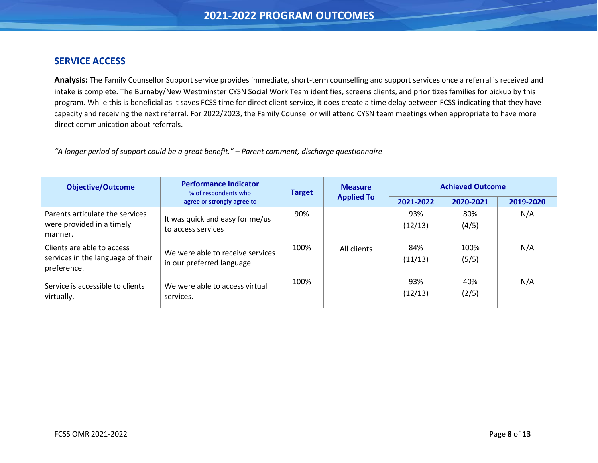#### <span id="page-7-0"></span>**SERVICE ACCESS**

**Analysis:** The Family Counsellor Support service provides immediate, short-term counselling and support services once a referral is received and intake is complete. The Burnaby/New Westminster CYSN Social Work Team identifies, screens clients, and prioritizes families for pickup by this program. While this is beneficial as it saves FCSS time for direct client service, it does create a time delay between FCSS indicating that they have capacity and receiving the next referral. For 2022/2023, the Family Counsellor will attend CYSN team meetings when appropriate to have more direct communication about referrals.

*"A longer period of support could be a great benefit." – Parent comment, discharge questionnaire*

| <b>Objective/Outcome</b>                                                       | <b>Performance Indicator</b><br>% of respondents who          | <b>Measure</b><br><b>Target</b> | <b>Achieved Outcome</b> |                |               |           |
|--------------------------------------------------------------------------------|---------------------------------------------------------------|---------------------------------|-------------------------|----------------|---------------|-----------|
|                                                                                | agree or strongly agree to                                    |                                 | <b>Applied To</b>       | 2021-2022      | 2020-2021     | 2019-2020 |
| Parents articulate the services<br>were provided in a timely<br>manner.        | It was quick and easy for me/us<br>to access services         | 90%                             |                         | 93%<br>(12/13) | 80%<br>(4/5)  | N/A       |
| Clients are able to access<br>services in the language of their<br>preference. | We were able to receive services<br>in our preferred language | 100%                            | All clients             | 84%<br>(11/13) | 100%<br>(5/5) | N/A       |
| Service is accessible to clients<br>virtually.                                 | We were able to access virtual<br>services.                   | 100%                            |                         | 93%<br>(12/13) | 40%<br>(2/5)  | N/A       |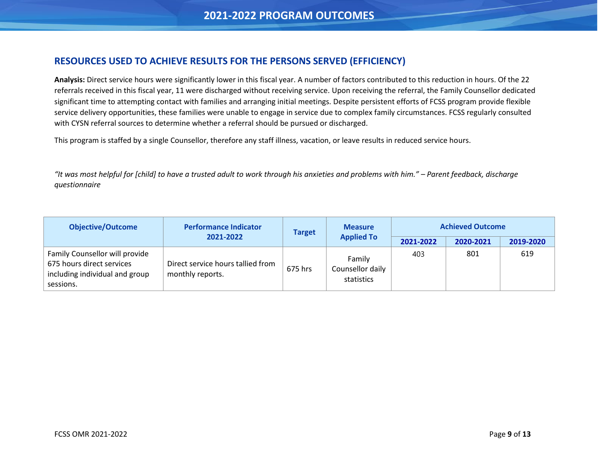#### <span id="page-8-0"></span>**RESOURCES USED TO ACHIEVE RESULTS FOR THE PERSONS SERVED (EFFICIENCY)**

**Analysis:** Direct service hours were significantly lower in this fiscal year. A number of factors contributed to this reduction in hours. Of the 22 referrals received in this fiscal year, 11 were discharged without receiving service. Upon receiving the referral, the Family Counsellor dedicated significant time to attempting contact with families and arranging initial meetings. Despite persistent efforts of FCSS program provide flexible service delivery opportunities, these families were unable to engage in service due to complex family circumstances. FCSS regularly consulted with CYSN referral sources to determine whether a referral should be pursued or discharged.

This program is staffed by a single Counsellor, therefore any staff illness, vacation, or leave results in reduced service hours.

*"It was most helpful for [child] to have a trusted adult to work through his anxieties and problems with him." – Parent feedback, discharge questionnaire*

| <b>Objective/Outcome</b>                                                                                   | <b>Performance Indicator</b>                          | <b>Measure</b> | <b>Target</b>                            |           | <b>Achieved Outcome</b> |           |  |
|------------------------------------------------------------------------------------------------------------|-------------------------------------------------------|----------------|------------------------------------------|-----------|-------------------------|-----------|--|
|                                                                                                            | 2021-2022                                             |                | <b>Applied To</b>                        | 2021-2022 | 2020-2021               | 2019-2020 |  |
| Family Counsellor will provide<br>675 hours direct services<br>including individual and group<br>sessions. | Direct service hours tallied from<br>monthly reports. | 675 hrs        | Family<br>Counsellor daily<br>statistics | 403       | 801                     | 619       |  |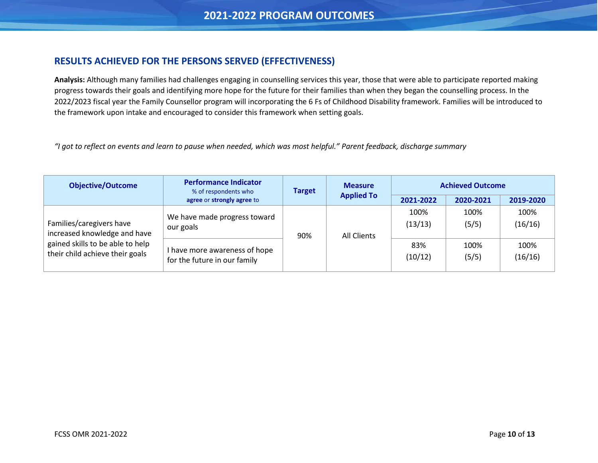#### <span id="page-9-0"></span>**RESULTS ACHIEVED FOR THE PERSONS SERVED (EFFECTIVENESS)**

**Analysis:** Although many families had challenges engaging in counselling services this year, those that were able to participate reported making progress towards their goals and identifying more hope for the future for their families than when they began the counselling process. In the 2022/2023 fiscal year the Family Counsellor program will incorporating the 6 Fs of Childhood Disability framework. Families will be introduced to the framework upon intake and encouraged to consider this framework when setting goals.

*"I got to reflect on events and learn to pause when needed, which was most helpful." Parent feedback, discharge summary*

| <b>Objective/Outcome</b>                                            | <b>Performance Indicator</b><br>% of respondents who          | <b>Target</b> |                   | <b>Measure</b>     |                 |                 | <b>Achieved Outcome</b> |  |
|---------------------------------------------------------------------|---------------------------------------------------------------|---------------|-------------------|--------------------|-----------------|-----------------|-------------------------|--|
|                                                                     | agree or strongly agree to                                    |               | <b>Applied To</b> | 2021-2022          | 2020-2021       | 2019-2020       |                         |  |
| Families/caregivers have<br>increased knowledge and have            | We have made progress toward<br>our goals                     | 90%           |                   | <b>All Clients</b> | 100%<br>(13/13) | 100%<br>(5/5)   | 100%<br>(16/16)         |  |
| gained skills to be able to help<br>their child achieve their goals | I have more awareness of hope<br>for the future in our family |               |                   | 83%<br>(10/12)     | 100%<br>(5/5)   | 100%<br>(16/16) |                         |  |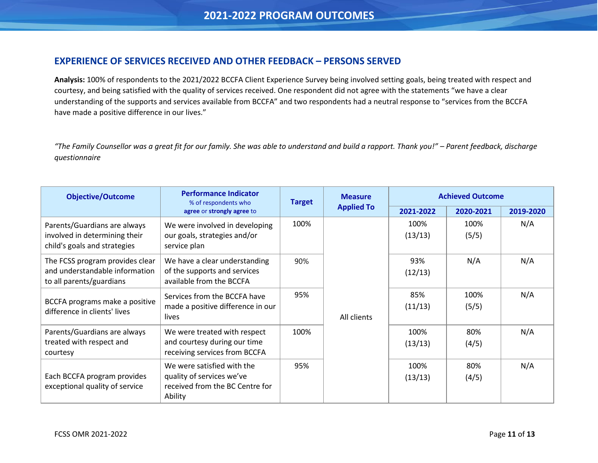#### <span id="page-10-0"></span>**EXPERIENCE OF SERVICES RECEIVED AND OTHER FEEDBACK – PERSONS SERVED**

**Analysis:** 100% of respondents to the 2021/2022 BCCFA Client Experience Survey being involved setting goals, being treated with respect and courtesy, and being satisfied with the quality of services received. One respondent did not agree with the statements "we have a clear understanding of the supports and services available from BCCFA" and two respondents had a neutral response to "services from the BCCFA have made a positive difference in our lives."

*"The Family Counsellor was a great fit for our family. She was able to understand and build a rapport. Thank you!" – Parent feedback, discharge questionnaire*

| <b>Objective/Outcome</b>                                                                      | <b>Performance Indicator</b><br>% of respondents who                                                  | <b>Measure</b><br><b>Target</b> |                   |                 | <b>Achieved Outcome</b> |           |
|-----------------------------------------------------------------------------------------------|-------------------------------------------------------------------------------------------------------|---------------------------------|-------------------|-----------------|-------------------------|-----------|
|                                                                                               | agree or strongly agree to                                                                            |                                 | <b>Applied To</b> | 2021-2022       | 2020-2021               | 2019-2020 |
| Parents/Guardians are always<br>involved in determining their<br>child's goals and strategies | We were involved in developing<br>our goals, strategies and/or<br>service plan                        | 100%                            |                   | 100%<br>(13/13) | 100%<br>(5/5)           | N/A       |
| The FCSS program provides clear<br>and understandable information<br>to all parents/guardians | We have a clear understanding<br>of the supports and services<br>available from the BCCFA             | 90%                             |                   | 93%<br>(12/13)  | N/A                     | N/A       |
| BCCFA programs make a positive<br>difference in clients' lives                                | Services from the BCCFA have<br>made a positive difference in our<br>lives                            | 95%                             | All clients       | 85%<br>(11/13)  | 100%<br>(5/5)           | N/A       |
| Parents/Guardians are always<br>treated with respect and<br>courtesy                          | We were treated with respect<br>and courtesy during our time<br>receiving services from BCCFA         | 100%                            |                   | 100%<br>(13/13) | 80%<br>(4/5)            | N/A       |
| Each BCCFA program provides<br>exceptional quality of service                                 | We were satisfied with the<br>quality of services we've<br>received from the BC Centre for<br>Ability | 95%                             |                   | 100%<br>(13/13) | 80%<br>(4/5)            | N/A       |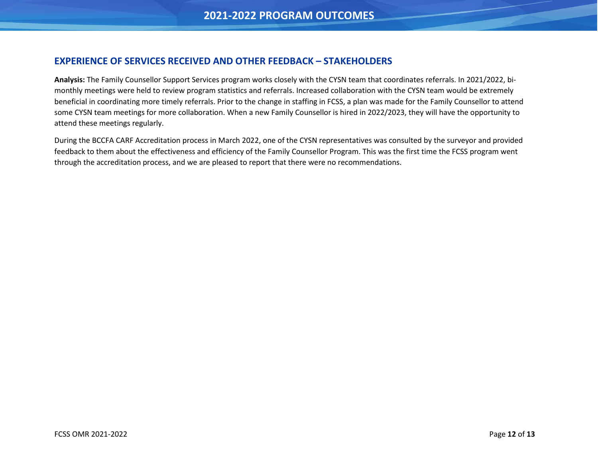#### <span id="page-11-0"></span>**EXPERIENCE OF SERVICES RECEIVED AND OTHER FEEDBACK – STAKEHOLDERS**

**Analysis:** The Family Counsellor Support Services program works closely with the CYSN team that coordinates referrals. In 2021/2022, bimonthly meetings were held to review program statistics and referrals. Increased collaboration with the CYSN team would be extremely beneficial in coordinating more timely referrals. Prior to the change in staffing in FCSS, a plan was made for the Family Counsellor to attend some CYSN team meetings for more collaboration. When a new Family Counsellor is hired in 2022/2023, they will have the opportunity to attend these meetings regularly.

During the BCCFA CARF Accreditation process in March 2022, one of the CYSN representatives was consulted by the surveyor and provided feedback to them about the effectiveness and efficiency of the Family Counsellor Program. This was the first time the FCSS program went through the accreditation process, and we are pleased to report that there were no recommendations.